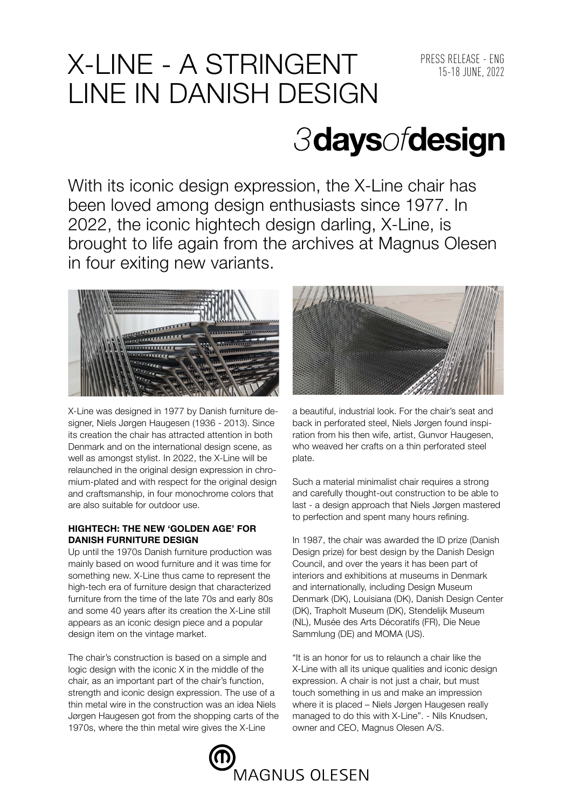## X-LINE - A STRINGENT PRESS RELEASE - ENG LINE IN DANISH DESIGN

# *3daysofdesign*

With its iconic design expression, the X-Line chair has been loved among design enthusiasts since 1977. In 2022, the iconic hightech design darling, X-Line, is brought to life again from the archives at Magnus Olesen in four exiting new variants.



X-Line was designed in 1977 by Danish furniture designer, Niels Jørgen Haugesen (1936 - 2013). Since its creation the chair has attracted attention in both Denmark and on the international design scene, as well as amongst stylist. In 2022, the X-Line will be relaunched in the original design expression in chromium-plated and with respect for the original design and craftsmanship, in four monochrome colors that are also suitable for outdoor use.

### **HIGHTECH: THE NEW 'GOLDEN AGE' FOR DANISH FURNITURE DESIGN**

Up until the 1970s Danish furniture production was mainly based on wood furniture and it was time for something new. X-Line thus came to represent the high-tech era of furniture design that characterized furniture from the time of the late 70s and early 80s and some 40 years after its creation the X-Line still appears as an iconic design piece and a popular design item on the vintage market.

The chair's construction is based on a simple and logic design with the iconic X in the middle of the chair, as an important part of the chair's function, strength and iconic design expression. The use of a thin metal wire in the construction was an idea Niels Jørgen Haugesen got from the shopping carts of the 1970s, where the thin metal wire gives the X-Line



a beautiful, industrial look. For the chair's seat and back in perforated steel, Niels Jørgen found inspiration from his then wife, artist, Gunvor Haugesen, who weaved her crafts on a thin perforated steel plate.

Such a material minimalist chair requires a strong and carefully thought-out construction to be able to last - a design approach that Niels Jørgen mastered to perfection and spent many hours refining.

In 1987, the chair was awarded the ID prize (Danish Design prize) for best design by the Danish Design Council, and over the years it has been part of interiors and exhibitions at museums in Denmark and internationally, including Design Museum Denmark (DK), Louisiana (DK), Danish Design Center (DK), Trapholt Museum (DK), Stendelijk Museum (NL), Musée des Arts Décoratifs (FR), Die Neue Sammlung (DE) and MOMA (US).

"It is an honor for us to relaunch a chair like the X-Line with all its unique qualities and iconic design expression. A chair is not just a chair, but must touch something in us and make an impression where it is placed – Niels Jørgen Haugesen really managed to do this with X-Line". - Nils Knudsen, owner and CEO, Magnus Olesen A/S.